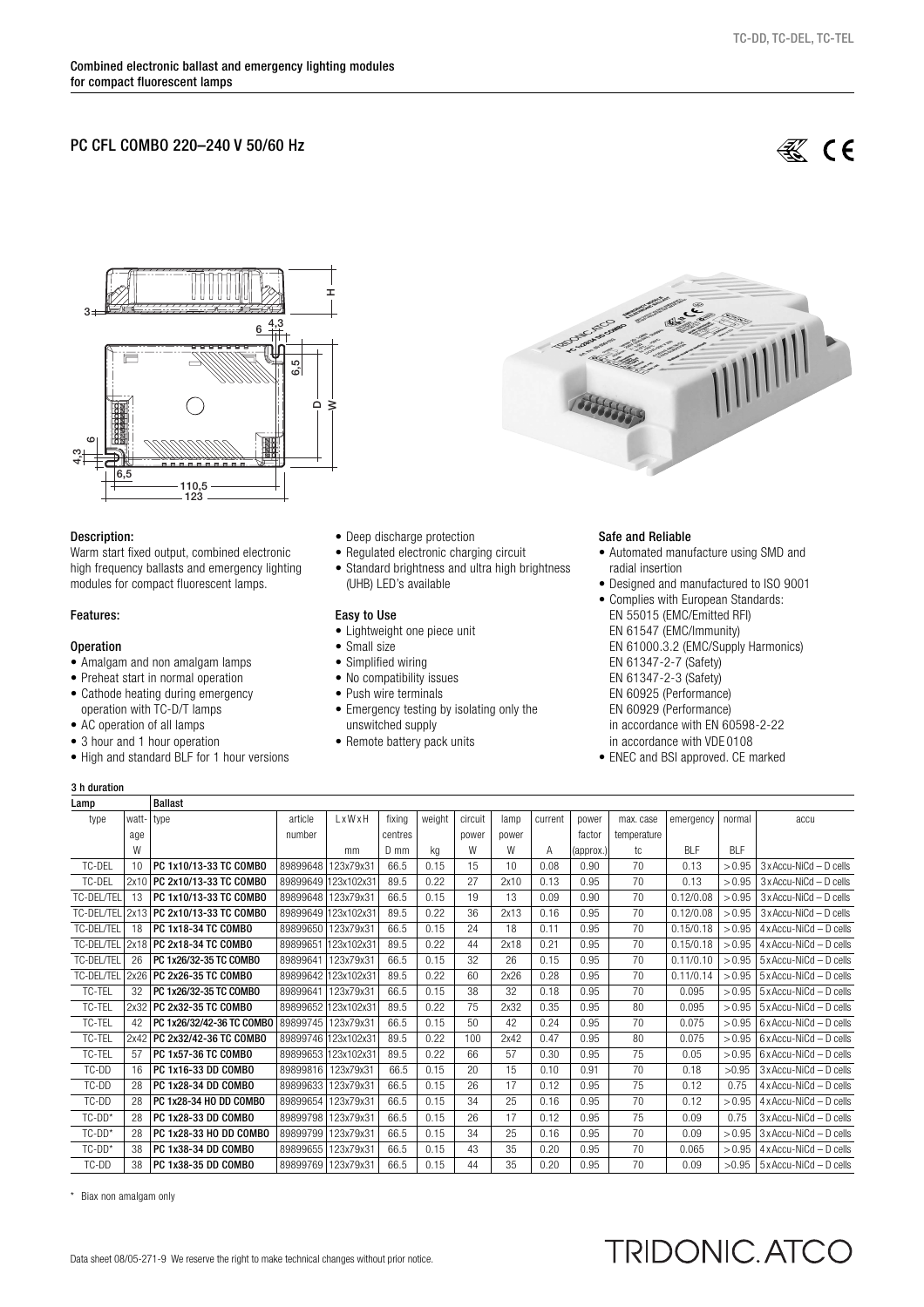## PC CFL COMBO 220–240 V 50/60 Hz

**缪 CE** 



## Description:

Warm start fixed output, combined electronic high frequency ballasts and emergency lighting modules for compact fluorescent lamps.

## Features:

#### **Operation**

- Amalgam and non amalgam lamps
- Preheat start in normal operation
- Cathode heating during emergency operation with TC-D/T lamps
- AC operation of all lamps
- 3 hour and 1 hour operation
- High and standard BLF for 1 hour versions
- Deep discharge protection
- Regulated electronic charging circuit
- Standard brightness and ultra high brightness (UHB) LED's available

#### Easy to Use

- Lightweight one piece unit
- Small size
- Simplified wiring
- No compatibility issues
- Push wire terminals
- Emergency testing by isolating only the unswitched supply
- Remote battery pack units

#### Safe and Reliable

- Automated manufacture using SMD and radial insertion
- Designed and manufactured to ISO 9001
- Complies with European Standards: EN 55015 (EMC/Emitted RFI) EN 61547 (EMC/Immunity) EN 61000.3.2 (EMC/Supply Harmonics) EN 61347-2-7 (Safety) EN 61347-2-3 (Safety) EN 60925 (Performance) EN 60929 (Performance) in accordance with EN 60598-2-22 in accordance with VDE 0108
- ENEC and BSI approved. CE marked

TRIDONIC. ATCO

## 3 h duration

| Lamp       |       | <b>Ballast</b>              |                    |                     |         |        |         |       |         |           |             |            |            |                                |
|------------|-------|-----------------------------|--------------------|---------------------|---------|--------|---------|-------|---------|-----------|-------------|------------|------------|--------------------------------|
| type       | watt- | l type                      | article            | LxWxH               | fixing  | weight | circuit | lamp  | current | power     | max. case   | emergency  | normal     | accu                           |
|            | age   |                             | number             |                     | centres |        | power   | power |         | factor    | temperature |            |            |                                |
|            | W     |                             |                    | mm                  | $D$ mm  | kq     | W       | W     | Α       | (approx.) | tc          | <b>BIF</b> | <b>BIF</b> |                                |
| TC-DEL     | 10    | PC 1x10/13-33 TC COMBO      | 89899648           | 123x79x31           | 66.5    | 0.15   | 15      | 10    | 0.08    | 0.90      | 70          | 0.13       | > 0.95     | $3x$ Accu-NiCd $-$ D cells     |
| TC-DEL     | 2x10  | PC 2x10/13-33 TC COMBO      | 89899649           | 123x102x31          | 89.5    | 0.22   | 27      | 2x10  | 0.13    | 0.95      | 70          | 0.13       | > 0.95     | $3x$ Accu-NiCd - D cells       |
| TC-DEL/TEL | 13    | PC 1x10/13-33 TC COMBO      | 89899648           | 123x79x31           | 66.5    | 0.15   | 19      | 13    | 0.09    | 0.90      | 70          | 0.12/0.08  | > 0.95     | $3x$ Accu-NiCd - D cells       |
| TC-DEL/TEL |       | 2x13 PC 2x10/13-33 TC COMBO |                    | 89899649 123x102x31 | 89.5    | 0.22   | 36      | 2x13  | 0.16    | 0.95      | 70          | 0.12/0.08  | > 0.95     | 3 x Accu-NiCd - D cells        |
| TC-DEL/TEL | 18    | PC 1x18-34 TC COMBO         | 89899650           | 123x79x31           | 66.5    | 0.15   | 24      | 18    | 0.11    | 0.95      | 70          | 0.15/0.18  | > 0.95     | $4 \times$ Accu-NiCd – D cells |
| TC-DEL/TEL |       | 2x18   PC 2x18-34 TC COMBO  | 89899651           | 123x102x31          | 89.5    | 0.22   | 44      | 2x18  | 0.21    | 0.95      | 70          | 0.15/0.18  | > 0.95     | $4 \times$ Accu-NiCd - D cells |
| TC-DEL/TEL | 26    | PC 1x26/32-35 TC COMBO      | 89899641           | 123x79x31           | 66.5    | 0.15   | 32      | 26    | 0.15    | 0.95      | 70          | 0.11/0.10  | > 0.95     | $5 \times$ Accu-NiCd - D cells |
| TC-DEL/TEL |       | 2x26 PC 2x26-35 TC COMBO    |                    | 89899642 123x102x31 | 89.5    | 0.22   | 60      | 2x26  | 0.28    | 0.95      | 70          | 0.11/0.14  | > 0.95     | $5 \times$ Accu-NiCd - D cells |
| TC-TEL     | 32    | PC 1x26/32-35 TC COMBO      | 89899641           | 123x79x31           | 66.5    | 0.15   | 38      | 32    | 0.18    | 0.95      | 70          | 0.095      | > 0.95     | 5 x Accu-NiCd - D cells        |
| TC-TEL     | 2x32  | PC 2x32-35 TC COMBO         |                    | 89899652 123x102x31 | 89.5    | 0.22   | 75      | 2x32  | 0.35    | 0.95      | 80          | 0.095      | > 0.95     | 5 x Accu-NiCd - D cells        |
| TC-TEL     | 42    | PC 1x26/32/42-36 TC COMBO   | 89899745 123x79x31 |                     | 66.5    | 0.15   | 50      | 42    | 0.24    | 0.95      | 70          | 0.075      | > 0.95     | $6 \times$ Accu-NiCd - D cells |
| TC-TEL     | 2x42  | PC 2x32/42-36 TC COMBO      |                    | 89899746 123x102x31 | 89.5    | 0.22   | 100     | 2x42  | 0.47    | 0.95      | 80          | 0.075      | > 0.95     | 6 x Accu-NiCd - D cells        |
| TC-TEL     | 57    | PC 1x57-36 TC COMBO         |                    | 89899653 123x102x31 | 89.5    | 0.22   | 66      | 57    | 0.30    | 0.95      | 75          | 0.05       | > 0.95     | $6 \times$ Accu-NiCd - D cells |
| TC-DD      | 16    | PC 1x16-33 DD COMBO         | 89899816           | 123x79x31           | 66.5    | 0.15   | 20      | 15    | 0.10    | 0.91      | 70          | 0.18       | >0.95      | $3x$ Accu-NiCd - D cells       |
| TC-DD      | 28    | PC 1x28-34 DD COMBO         | 89899633           | 123x79x31           | 66.5    | 0.15   | 26      | 17    | 0.12    | 0.95      | 75          | 0.12       | 0.75       | 4 x Accu-NiCd - D cells        |
| TC-DD      | 28    | PC 1x28-34 HO DD COMBO      | 89899654           | 123x79x31           | 66.5    | 0.15   | 34      | 25    | 0.16    | 0.95      | 70          | 0.12       | > 0.95     | $4 \times$ Accu-NiCd - D cells |
| $TC-DD*$   | 28    | PC 1x28-33 DD COMBO         | 89899798           | 123x79x31           | 66.5    | 0.15   | 26      | 17    | 0.12    | 0.95      | 75          | 0.09       | 0.75       | 3 x Accu-NiCd - D cells        |
| $TC-DD*$   | 28    | PC 1x28-33 HO DD COMBO      | 89899799 123x79x31 |                     | 66.5    | 0.15   | 34      | 25    | 0.16    | 0.95      | 70          | 0.09       | > 0.95     | $3 \times$ Accu-NiCd - D cells |
| $TC-DD*$   | 38    | PC 1x38-34 DD COMBO         | 89899655           | 123x79x31           | 66.5    | 0.15   | 43      | 35    | 0.20    | 0.95      | 70          | 0.065      | > 0.95     | $4 \times$ Accu-NiCd - D cells |
| TC-DD      | 38    | PC 1x38-35 DD COMBO         |                    | 89899769 123x79x31  | 66.5    | 0.15   | 44      | 35    | 0.20    | 0.95      | 70          | 0.09       | >0.95      | 5 x Accu-NiCd - D cells        |

\* Biax non amalgam only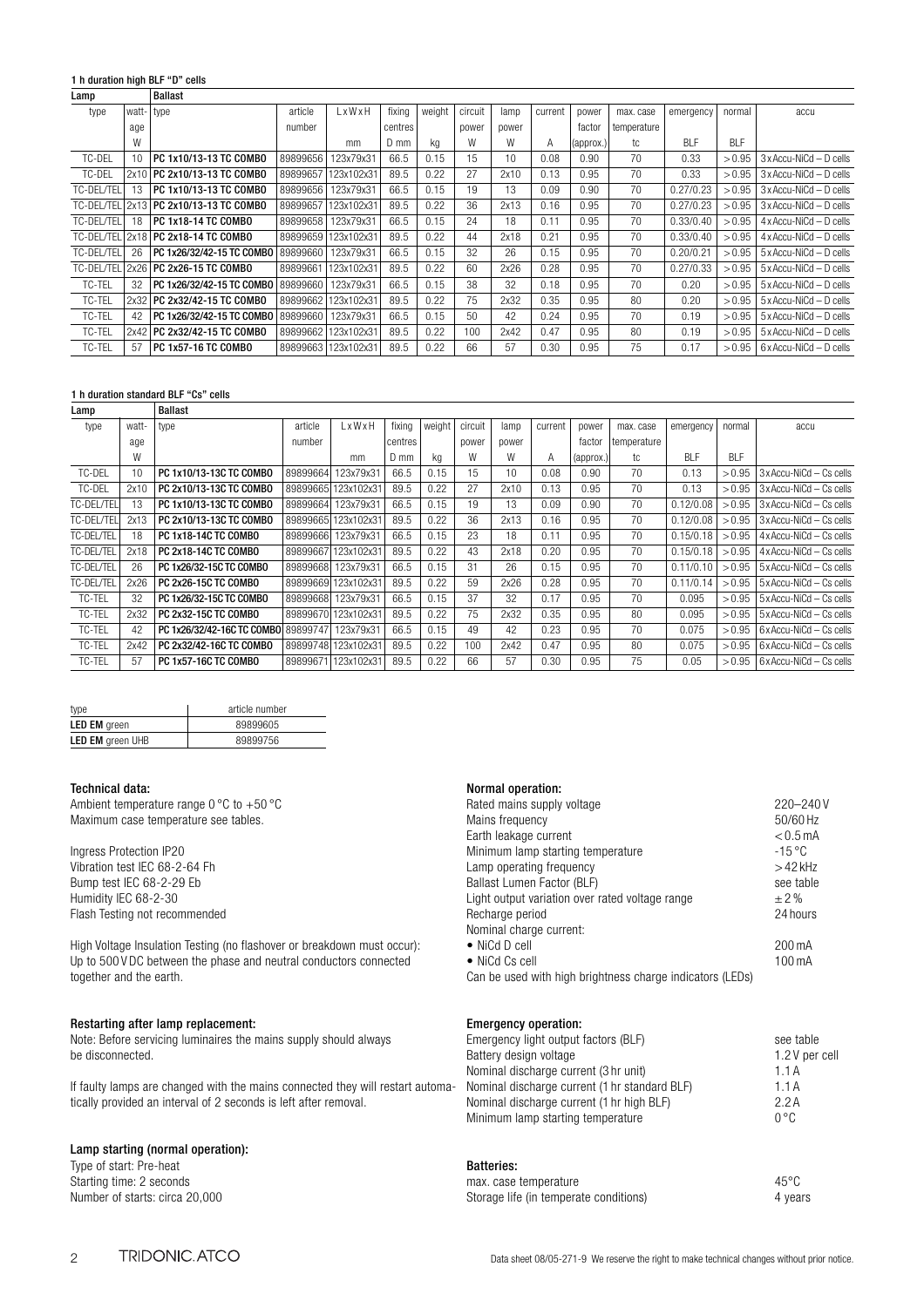## 1 h duration high BLF "D" cells

| Lamp              |       | <b>Ballast</b>                |          |            |         |        |         |       |         |           |             |            |        |                                |
|-------------------|-------|-------------------------------|----------|------------|---------|--------|---------|-------|---------|-----------|-------------|------------|--------|--------------------------------|
| type              | watt- | l type                        | article  | LxWxH      | fixing  | weight | circuit | lamp  | current | power     | max. case   | emergency  | normal | accu                           |
|                   | age   |                               | number   |            | centres |        | power   | power |         | factor    | temperature |            |        |                                |
|                   | W     |                               |          | mm         | D mm    | kg     | W       | W     | А       | (approx.) | tc          | <b>BIF</b> | BI F   |                                |
| TC-DEL            | 10    | PC 1x10/13-13 TC COMBO        | 89899656 | 123x79x31  | 66.5    | 0.15   | 15      | 10    | 0.08    | 0.90      | 70          | 0.33       | > 0.95 | $3x$ Accu-NiCd $-$ D cells     |
| TC-DEL            | 2x10  | <b>PC 2x10/13-13 TC COMBO</b> | 89899657 | 123x102x31 | 89.5    | 0.22   | 27      | 2x10  | 0.13    | 0.95      | 70          | 0.33       | > 0.95 | $3x$ Accu-NiCd $-$ D cells     |
| TC-DEL/TEL        | 13    | PC 1x10/13-13 TC COMBO        | 89899656 | 123x79x31  | 66.5    | 0.15   | 19      | 13    | 0.09    | 0.90      | 70          | 0.27/0.23  | > 0.95 | $3x$ Accu-NiCd $-$ D cells     |
| <b>TC-DEL/TEL</b> |       | 2x13 PC 2x10/13-13 TC COMBO   | 89899657 | 123x102x31 | 89.5    | 0.22   | 36      | 2x13  | 0.16    | 0.95      | 70          | 0.27/0.23  | > 0.95 | $3x$ Accu-NiCd $-$ D cells     |
| TC-DEL/TEL        | 18    | PC 1x18-14 TC COMBO           | 89899658 | 123x79x31  | 66.5    | 0.15   | 24      | 18    | 0.11    | 0.95      | 70          | 0.33/0.40  | > 0.95 | $4 \times$ Accu-NiCd - D cells |
| TC-DFI/TFI        |       | 2x18 PC 2x18-14 TC COMBO      | 89899659 | 123x102x31 | 89.5    | 0.22   | 44      | 2x18  | 0.21    | 0.95      | 70          | 0.33/0.40  | > 0.95 | $4 \times$ Accu-NiCd - D cells |
| TC-DEL/TEL        | 26    | PC 1x26/32/42-15 TC COMBO     | 89899660 | 123x79x31  | 66.5    | 0.15   | 32      | 26    | 0.15    | 0.95      | 70          | 0.20/0.21  | > 0.95 | 5 x Accu-NiCd - D cells        |
| TC-DEL/TEL        |       | 2x26   PC 2x26-15 TC COMBO    | 89899661 | 123x102x31 | 89.5    | 0.22   | 60      | 2x26  | 0.28    | 0.95      | 70          | 0.27/0.33  | > 0.95 | 5 x Accu-NiCd - D cells        |
| TC-TEL            | 32    | PC 1x26/32/42-15 TC COMBO     | 89899660 | 123x79x31  | 66.5    | 0.15   | 38      | 32    | 0.18    | 0.95      | 70          | 0.20       | > 0.95 | $5x$ Accu-NiCd - D cells       |
| TC-TEL            |       | 2x32 PC 2x32/42-15 TC COMBO   | 89899662 | 123x102x31 | 89.5    | 0.22   | 75      | 2x32  | 0.35    | 0.95      | 80          | 0.20       | > 0.95 | $5x$ Accu-NiCd - D cells       |
| TC-TEL            | 42    | PC 1x26/32/42-15 TC COMBO     | 89899660 | 123x79x31  | 66.5    | 0.15   | 50      | 42    | 0.24    | 0.95      | 70          | 0.19       | > 0.95 | 5 x Accu-NiCd - D cells        |
| TC-TEL            |       | 2x42 PC 2x32/42-15 TC COMBO   | 89899662 | 123x102x31 | 89.5    | 0.22   | 100     | 2x42  | 0.47    | 0.95      | 80          | 0.19       | > 0.95 | 5 x Accu-NiCd - D cells        |
| TC-TEL            | 57    | PC 1x57-16 TC COMBO           | 89899663 | 123x102x31 | 89.5    | 0.22   | 66      | 57    | 0.30    | 0.95      | 75          | 0.17       | > 0.95 | $6x$ Accu-NiCd - D cells       |

## 1 h duration standard BLF "Cs" cells

| Lamp        |       | <b>Ballast</b>              |          |                     |         |        |         |       |         |           |             |           |            |                           |
|-------------|-------|-----------------------------|----------|---------------------|---------|--------|---------|-------|---------|-----------|-------------|-----------|------------|---------------------------|
| type        | watt- | type                        | article  | LxWxH               | fixing  | weight | circuit | lamp  | current | power     | max. case   | emergency | normal     | accu                      |
|             | age   |                             | number   |                     | centres |        | power   | power |         | factor    | temperature |           |            |                           |
|             | W     |                             |          | mm                  | $D$ mm  | kg     | W       | W     | A       | (approx.) | tc          | BI F      | <b>BLF</b> |                           |
| TC-DEL      | 10    | PC 1x10/13-13C TC COMBO     | 89899664 | 123x79x31           | 66.5    | 0.15   | 15      | 10    | 0.08    | 0.90      | 70          | 0.13      | > 0.95     | 3 x Accu-NiCd - Cs cells  |
| TC-DEL      | 2x10  | PC 2x10/13-13C TC COMBO     |          | 89899665 123x102x31 | 89.5    | 0.22   | 27      | 2x10  | 0.13    | 0.95      | 70          | 0.13      | > 0.95     | 3 x Accu-NiCd - Cs cells  |
| TC-DEL/TELI | 13    | PC 1x10/13-13C TC COMBO     | 89899664 | 123x79x31           | 66.5    | 0.15   | 19      | 13    | 0.09    | 0.90      | 70          | 0.12/0.08 | > 0.95     | 3 x Accu-NiCd - Cs cells  |
| TC-DEL/TEL  | 2x13  | PC 2x10/13-13C TC COMBO     |          | 89899665 123x102x31 | 89.5    | 0.22   | 36      | 2x13  | 0.16    | 0.95      | 70          | 0.12/0.08 | > 0.95     | 3 x Accu-NiCd - Cs cells  |
| TC-DEL/TEL  | 18    | PC 1x18-14C TC COMBO        | 89899666 | 123x79x31           | 66.5    | 0.15   | 23      | 18    | 0.11    | 0.95      | 70          | 0.15/0.18 | > 0.95     | 4 x Accu-NiCd - Cs cells  |
| TC-DEL/TEL  | 2x18  | PC 2x18-14C TC COMBO        | 89899667 | 123x102x31          | 89.5    | 0.22   | 43      | 2x18  | 0.20    | 0.95      | 70          | 0.15/0.18 | > 0.95     | 4 x Accu-NiCd - Cs cells  |
| TC-DEL/TEL  | 26    | PC 1x26/32-15C TC COMBO     | 89899668 | 123x79x31           | 66.5    | 0.15   | 31      | 26    | 0.15    | 0.95      | 70          | 0.11/0.10 | > 0.95     | 5 x Accu-NiCd - Cs cells  |
| TC-DEL/TEL  | 2x26  | PC 2x26-15C TC COMBO        |          | 89899669 123x102x31 | 89.5    | 0.22   | 59      | 2x26  | 0.28    | 0.95      | 70          | 0.11/0.14 | > 0.95     | 5 x Accu-NiCd - Cs cells  |
| TC-TEL      | 32    | PC 1x26/32-15C TC COMBO     | 89899668 | 123x79x31           | 66.5    | 0.15   | 37      | 32    | 0.17    | 0.95      | 70          | 0.095     | > 0.95     | 5 x Accu-NiCd - Cs cells  |
| TC-TEL      | 2x32  | PC 2x32-15C TC COMBO        |          | 898996701123x102x31 | 89.5    | 0.22   | 75      | 2x32  | 0.35    | 0.95      | 80          | 0.095     | > 0.95     | 5 x Accu-NiCd - Cs cells  |
| TC-TEL      | 42    | PC 1x26/32/42-16C TC COMBO  | 89899747 | 123x79x31           | 66.5    | 0.15   | 49      | 42    | 0.23    | 0.95      | 70          | 0.075     | > 0.95     | 6 x Accu-NiCd - Cs cells  |
| TC-TEL      | 2x42  | PC 2x32/42-16C TC COMBO     |          | 89899748 123x102x31 | 89.5    | 0.22   | 100     | 2x42  | 0.47    | 0.95      | 80          | 0.075     | > 0.95     | 6 x Accu-NiCd - Cs cells  |
| TC-TEL      | 57    | <b>PC 1x57-16C TC COMBO</b> | 89899671 | 123x102x31          | 89.5    | 0.22   | 66      | 57    | 0.30    | 0.95      | 75          | 0.05      | > 0.95     | $6x$ Accu-NiCd – Cs cells |

| type                    | article number |
|-------------------------|----------------|
| <b>LED EM</b> green     | 89899605       |
| <b>LED EM</b> green UHB | 89899756       |

#### Technical data:

Ambient temperature range 0  $^{\circ}$ C to +50  $^{\circ}$ C Maximum case temperature see tables.

Ingress Protection IP20 Vibration test IEC 68-2-64 Fh Bump test IEC 68-2-29 Eb Humidity IEC 68-2-30 Flash Testing not recommended

High Voltage Insulation Testing (no flashover or breakdown must occur): Up to 500 V DC between the phase and neutral conductors connected together and the earth.

#### Restarting after lamp replacement:

Note: Before servicing luminaires the mains supply should always be disconnected.

If faulty lamps are changed with the mains connected they will restart automatically provided an interval of 2 seconds is left after removal.

#### Lamp starting (normal operation):

Type of start: Pre-heat Starting time: 2 seconds Number of starts: circa 20,000

#### Normal operation:

| Rated mains supply voltage                                | 220-240V                  |
|-----------------------------------------------------------|---------------------------|
| Mains frequency                                           | 50/60 Hz                  |
| Earth leakage current                                     | $< 0.5$ mA                |
| Minimum lamp starting temperature                         | $-15\,^{\circ}\mathrm{C}$ |
| Lamp operating frequency                                  | $>42$ kHz                 |
| Ballast Lumen Factor (BLF)                                | see table                 |
| Light output variation over rated voltage range           | $\pm 2\%$                 |
| Recharge period                                           | 24 hours                  |
| Nominal charge current:                                   |                           |
| $\bullet$ NiCd D cell                                     | $200 \text{ mA}$          |
| • NiCd Cs cell                                            | 100 mA                    |
| Can be used with high brightness charge indicators (LEDs) |                           |

#### Emergency operation:

| Emergency light output factors (BLF)          | see table     |
|-----------------------------------------------|---------------|
| Battery design voltage                        | 1.2V per cell |
| Nominal discharge current (3 hr unit)         | 1.1A          |
| Nominal discharge current (1 hr standard BLF) | 1.1A          |
| Nominal discharge current (1 hr high BLF)     | 2.2A          |
| Minimum lamp starting temperature             | $0^{\circ}$ C |
|                                               |               |

#### Batteries:

| max. case temperature                  | $45^{\circ}$ C |
|----------------------------------------|----------------|
| Storage life (in temperate conditions) | 4 years        |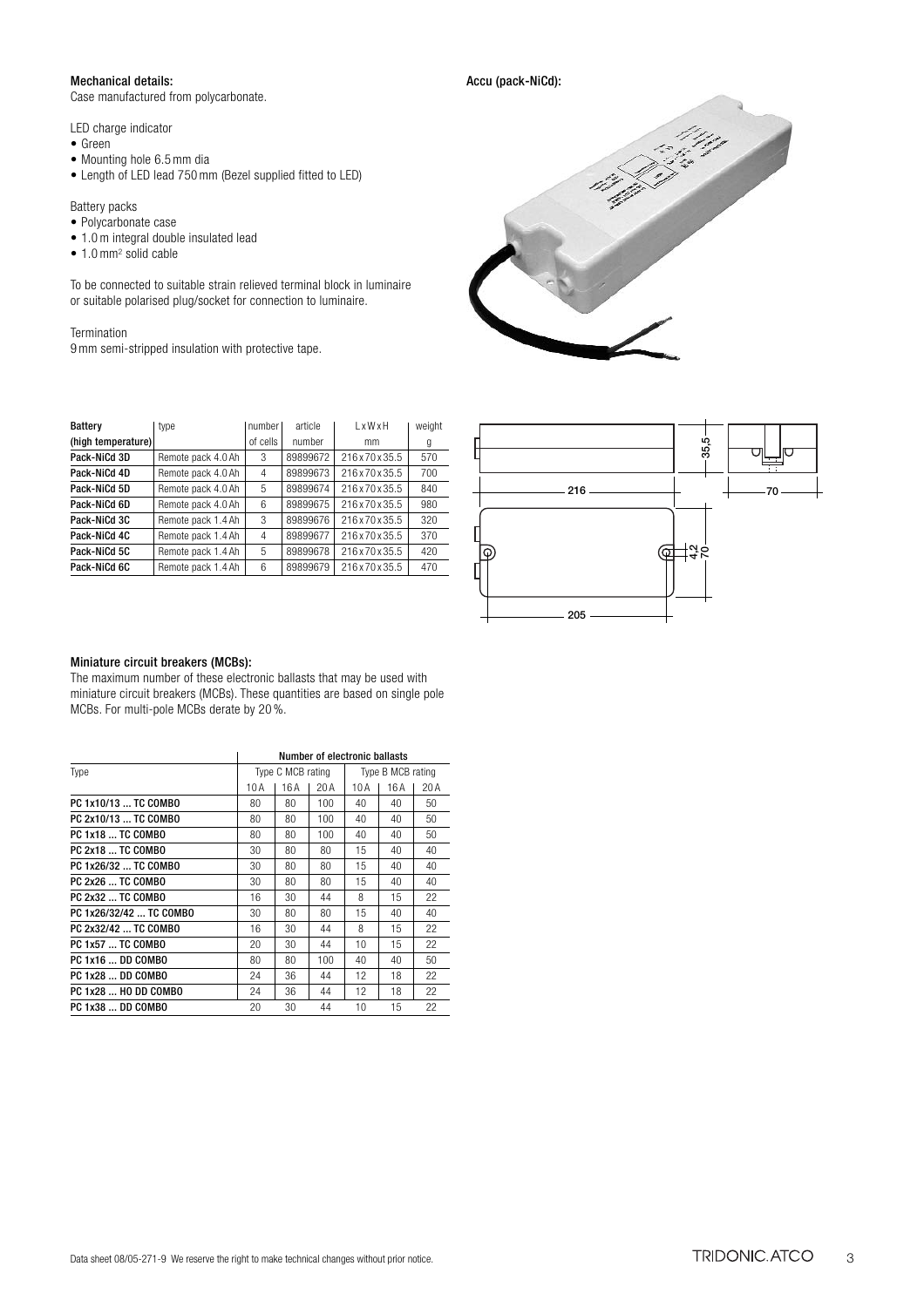## Mechanical details:

Case manufactured from polycarbonate.

LED charge indicator

- Green
- Mounting hole 6.5 mm dia

• Length of LED lead 750 mm (Bezel supplied fitted to LED)

Battery packs

- Polycarbonate case
- 1.0 m integral double insulated lead
- 1.0 mm<sup>2</sup> solid cable

To be connected to suitable strain relieved terminal block in luminaire or suitable polarised plug/socket for connection to luminaire.

Termination 9 mm semi-stripped insulation with protective tape.

|   |      | عنى                         | SOL PORT<br>s<br>Î<br>$\hat{\Phi}^{ab}$ |  |
|---|------|-----------------------------|-----------------------------------------|--|
|   |      | ₩<br><b>Charles Company</b> |                                         |  |
|   |      |                             |                                         |  |
| C | pri. |                             |                                         |  |
|   |      |                             |                                         |  |

Accu (pack-NiCd):

| Battery            | type               | number I | article  | 1 x W x H   | weight |
|--------------------|--------------------|----------|----------|-------------|--------|
| (high temperature) |                    | of cells | number   | mm          | g      |
| Pack-NiCd 3D       | Remote pack 4.0 Ah | 3        | 89899672 | 216x70x35.5 | 570    |
| Pack-NiCd 4D       | Remote pack 4.0 Ah | 4        | 89899673 | 216x70x35.5 | 700    |
| Pack-NiCd 5D       | Remote pack 4.0 Ah | 5        | 89899674 | 216x70x35.5 | 840    |
| Pack-NiCd 6D       | Remote pack 4.0 Ah | 6        | 89899675 | 216x70x35.5 | 980    |
| Pack-NiCd 3C       | Remote pack 1.4 Ah | 3        | 89899676 | 216x70x35.5 | 320    |
| Pack-NiCd 4C       | Remote pack 1.4 Ah | 4        | 89899677 | 216x70x35.5 | 370    |
| Pack-NiCd 5C       | Remote pack 1.4 Ah | 5        | 89899678 | 216x70x35.5 | 420    |
| Pack-NiCd 6C       | Remote pack 1.4 Ah | 6        | 89899679 | 216x70x35.5 | 470    |



#### Miniature circuit breakers (MCBs):

| Pack-NiCd 5C            | Remote pack 1.4 Ah                                                                          | 5   | 89899678          |     | 216 x 70 x 35.5               |                   | 420  | 13.5<br>IΘ<br>Ҩ     |
|-------------------------|---------------------------------------------------------------------------------------------|-----|-------------------|-----|-------------------------------|-------------------|------|---------------------|
| Pack-NiCd 6C            | Remote pack 1.4 Ah                                                                          | 6   | 89899679          |     | 216 x 70 x 35.5               |                   | 470  |                     |
|                         |                                                                                             |     |                   |     |                               |                   |      |                     |
|                         |                                                                                             |     |                   |     |                               |                   |      |                     |
|                         |                                                                                             |     |                   |     |                               |                   |      | 205                 |
|                         |                                                                                             |     |                   |     |                               |                   |      |                     |
|                         |                                                                                             |     |                   |     |                               |                   |      |                     |
|                         | Miniature circuit breakers (MCBs):                                                          |     |                   |     |                               |                   |      |                     |
|                         | The maximum number of these electronic ballasts that may be used with                       |     |                   |     |                               |                   |      |                     |
|                         | miniature circuit breakers (MCBs). These quantities are based on single pole                |     |                   |     |                               |                   |      |                     |
|                         | MCBs. For multi-pole MCBs derate by 20 %.                                                   |     |                   |     |                               |                   |      |                     |
|                         |                                                                                             |     |                   |     |                               |                   |      |                     |
|                         |                                                                                             |     |                   |     |                               |                   |      |                     |
|                         |                                                                                             |     | Type C MCB rating |     | Number of electronic ballasts | Type B MCB rating |      |                     |
| Type                    |                                                                                             | 10A | 16A               | 20A | 10 A                          | 16 A              | 20 A |                     |
| PC 1x10/13  TC COMBO    |                                                                                             | 80  | 80                | 100 | 40                            | 40                | 50   |                     |
| PC 2x10/13  TC COMBO    |                                                                                             | 80  | 80                | 100 | 40                            | 40                | 50   |                     |
| PC 1x18  TC COMBO       |                                                                                             | 80  | 80                | 100 | 40                            | 40                | 50   |                     |
| PC 2x18  TC COMBO       |                                                                                             | 30  | 80                | 80  | 15                            | 40                | 40   |                     |
| PC 1x26/32  TC COMBO    |                                                                                             | 30  | 80                | 80  | 15                            | 40                | 40   |                     |
| PC 2x26  TC COMBO       |                                                                                             | 30  | 80                | 80  | 15                            | 40                | 40   |                     |
| PC 2x32  TC COMBO       |                                                                                             | 16  | 30                | 44  | 8                             | 15                | 22   |                     |
| PC 1x26/32/42  TC COMBO |                                                                                             | 30  | 80                | 80  | 15                            | 40                | 40   |                     |
| PC 2x32/42  TC COMBO    |                                                                                             | 16  | 30                | 44  | 8                             | 15                | 22   |                     |
| PC 1x57  TC COMBO       |                                                                                             | 20  | 30                | 44  | 10                            | 15                | 22   |                     |
| PC 1x16  DD COMBO       |                                                                                             | 80  | 80                | 100 | 40                            | 40                | 50   |                     |
| PC 1x28  DD COMBO       |                                                                                             | 24  | 36                | 44  | 12                            | 18                | 22   |                     |
| PC 1x28  HO DD COMBO    |                                                                                             | 24  | 36                | 44  | 12                            | 18                | 22   |                     |
| PC 1x38  DD COMBO       |                                                                                             | 20  | 30                | 44  | 10                            | 15                | 22   |                     |
|                         |                                                                                             |     |                   |     |                               |                   |      |                     |
|                         |                                                                                             |     |                   |     |                               |                   |      |                     |
|                         |                                                                                             |     |                   |     |                               |                   |      |                     |
|                         |                                                                                             |     |                   |     |                               |                   |      |                     |
|                         |                                                                                             |     |                   |     |                               |                   |      |                     |
|                         |                                                                                             |     |                   |     |                               |                   |      |                     |
|                         |                                                                                             |     |                   |     |                               |                   |      |                     |
|                         |                                                                                             |     |                   |     |                               |                   |      |                     |
|                         |                                                                                             |     |                   |     |                               |                   |      |                     |
|                         |                                                                                             |     |                   |     |                               |                   |      |                     |
|                         |                                                                                             |     |                   |     |                               |                   |      |                     |
|                         |                                                                                             |     |                   |     |                               |                   |      |                     |
|                         |                                                                                             |     |                   |     |                               |                   |      |                     |
|                         |                                                                                             |     |                   |     |                               |                   |      |                     |
|                         | Data sheet 08/05-271-9 We reserve the right to make technical changes without prior notice. |     |                   |     |                               |                   |      | TRIDONIC. ATCO<br>3 |